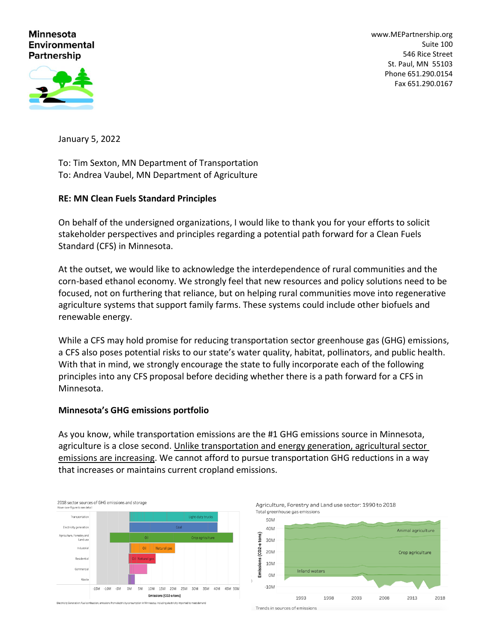### **Minnesota Environmental Partnership**

[www.MEPartnership.org](http://www.mepartnership.org/) Suite 100 546 Rice Street St. Paul, MN 55103 Phone 651.290.0154 Fax 651.290.0167



January 5, 2022

To: Tim Sexton, MN Department of Transportation To: Andrea Vaubel, MN Department of Agriculture

## **RE: MN Clean Fuels Standard Principles**

On behalf of the undersigned organizations, I would like to thank you for your efforts to solicit stakeholder perspectives and principles regarding a potential path forward for a Clean Fuels Standard (CFS) in Minnesota.

At the outset, we would like to acknowledge the interdependence of rural communities and the corn-based ethanol economy. We strongly feel that new resources and policy solutions need to be focused, not on furthering that reliance, but on helping rural communities move into regenerative agriculture systems that support family farms. These systems could include other biofuels and renewable energy.

While a CFS may hold promise for reducing transportation sector greenhouse gas (GHG) emissions, a CFS also poses potential risks to our state's water quality, habitat, pollinators, and public health. With that in mind, we strongly encourage the state to fully incorporate each of the following principles into any CFS proposal before deciding whether there is a path forward for a CFS in Minnesota.

### **Minnesota's GHG emissions portfolio**

As you know, while transportation emissions are the #1 GHG emissions source in Minnesota, agriculture is a close second. Unlike transportation and energy generation, agricultural sector emissions are increasing. We cannot afford to pursue transportation GHG reductions in a way that increases or maintains current cropland emissions.



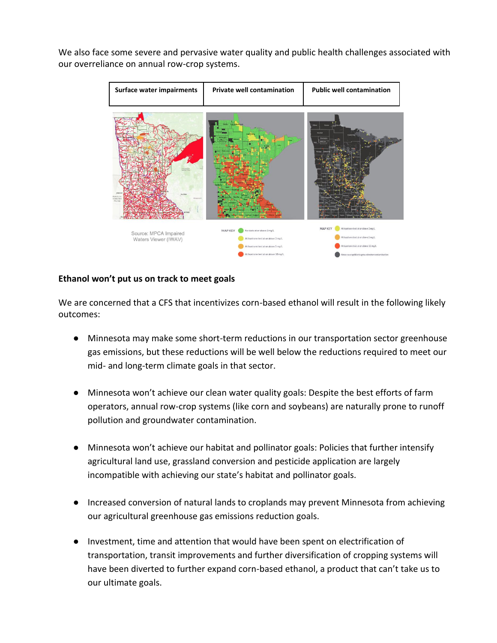We also face some severe and pervasive water quality and public health challenges associated with our overreliance on annual row-crop systems.



### **Ethanol won't put us on track to meet goals**

We are concerned that a CFS that incentivizes corn-based ethanol will result in the following likely outcomes:

- Minnesota may make some short-term reductions in our transportation sector greenhouse gas emissions, but these reductions will be well below the reductions required to meet our mid- and long-term climate goals in that sector.
- Minnesota won't achieve our clean water quality goals: Despite the best efforts of farm operators, annual row-crop systems (like corn and soybeans) are naturally prone to runoff pollution and groundwater contamination.
- Minnesota won't achieve our habitat and pollinator goals: Policies that further intensify agricultural land use, grassland conversion and pesticide application are largely incompatible with achieving our state's habitat and pollinator goals.
- Increased conversion of natural lands to croplands may prevent Minnesota from achieving our agricultural greenhouse gas emissions reduction goals.
- Investment, time and attention that would have been spent on electrification of transportation, transit improvements and further diversification of cropping systems will have been diverted to further expand corn-based ethanol, a product that can't take us to our ultimate goals.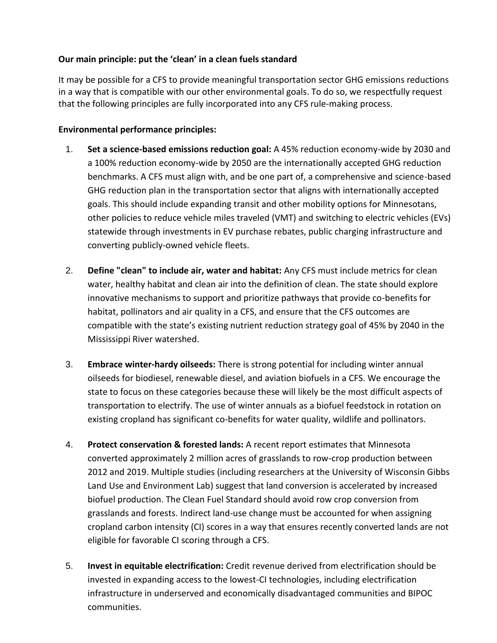# **Our main principle: put the 'clean' in a clean fuels standard**

It may be possible for a CFS to provide meaningful transportation sector GHG emissions reductions in a way that is compatible with our other environmental goals. To do so, we respectfully request that the following principles are fully incorporated into any CFS rule-making process.

## **Environmental performance principles:**

- 1. **Set a science-based emissions reduction goal:** A 45% reduction economy-wide by 2030 and a 100% reduction economy-wide by 2050 are the internationally accepted GHG reduction benchmarks. A CFS must align with, and be one part of, a comprehensive and science-based GHG reduction plan in the transportation sector that aligns with internationally accepted goals. This should include expanding transit and other mobility options for Minnesotans, other policies to reduce vehicle miles traveled (VMT) and switching to electric vehicles (EVs) statewide through investments in EV purchase rebates, public charging infrastructure and converting publicly-owned vehicle fleets.
- 2. **Define "clean" to include air, water and habitat:** Any CFS must include metrics for clean water, healthy habitat and clean air into the definition of clean. The state should explore innovative mechanisms to support and prioritize pathways that provide co-benefits for habitat, pollinators and air quality in a CFS, and ensure that the CFS outcomes are compatible with the state's existing nutrient reduction strategy goal of 45% by 2040 in the Mississippi River watershed.
- 3. **Embrace winter-hardy oilseeds:** There is strong potential for including winter annual oilseeds for biodiesel, renewable diesel, and aviation biofuels in a CFS. We encourage the state to focus on these categories because these will likely be the most difficult aspects of transportation to electrify. The use of winter annuals as a biofuel feedstock in rotation on existing cropland has significant co-benefits for water quality, wildlife and pollinators.
- 4. **Protect conservation & forested lands:** A recent report estimates that Minnesota converted approximately 2 million acres of grasslands to row-crop production between 2012 and 2019. Multiple studies (including researchers at the University of Wisconsin [Gibbs](http://www.gibbs-lab.com/)  [Land Use and Environment Lab\)](http://www.gibbs-lab.com/) suggest that land conversion is accelerated by increased biofuel production. The Clean Fuel Standard should avoid row crop conversion from grasslands and forests. Indirect land-use change must be accounted for when assigning cropland carbon intensity (CI) scores in a way that ensures recently converted lands are not eligible for favorable CI scoring through a CFS.
- 5. **Invest in equitable electrification:** Credit revenue derived from electrification should be invested in expanding access to the lowest-CI technologies, including electrification infrastructure in underserved and economically disadvantaged communities and BIPOC communities.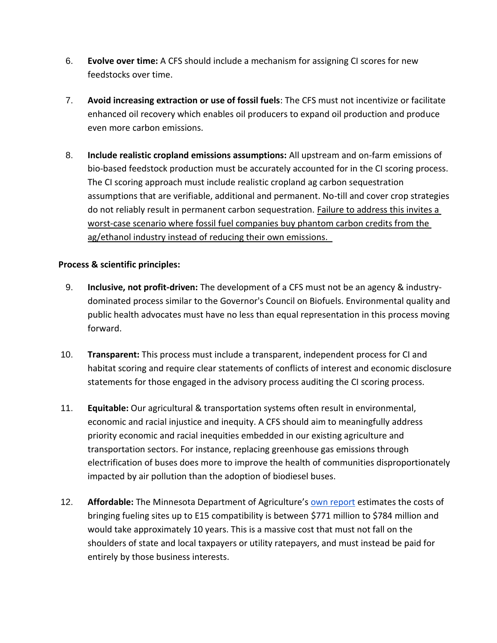- 6. **Evolve over time:** A CFS should include a mechanism for assigning CI scores for new feedstocks over time.
- 7. **Avoid increasing extraction or use of fossil fuels**: The CFS must not incentivize or facilitate enhanced oil recovery which enables oil producers to expand oil production and produce even more carbon emissions.
- 8. **Include realistic cropland emissions assumptions:** All upstream and on-farm emissions of bio-based feedstock production must be accurately accounted for in the CI scoring process. The CI scoring approach must include realistic cropland ag carbon sequestration assumptions that are verifiable, additional and permanent. No-till and cover crop strategies do not reliably result in permanent carbon sequestration. Failure to address this invites a worst-case scenario where fossil fuel companies buy phantom carbon credits from the ag/ethanol industry instead of reducing their own emissions.

## **Process & scientific principles:**

- 9. **Inclusive, not profit-driven:** The development of a CFS must not be an agency & industrydominated process similar to the Governor's Council on Biofuels. Environmental quality and public health advocates must have no less than equal representation in this process moving forward.
- 10. **Transparent:** This process must include a transparent, independent process for CI and habitat scoring and require clear statements of conflicts of interest and economic disclosure statements for those engaged in the advisory process auditing the CI scoring process.
- 11. **Equitable:** Our agricultural & transportation systems often result in environmental, economic and racial injustice and inequity. A CFS should aim to meaningfully address priority economic and racial inequities embedded in our existing agriculture and transportation sectors. For instance, replacing greenhouse gas emissions through electrification of buses does more to improve the health of communities disproportionately impacted by air pollution than the adoption of biodiesel buses.
- 12. Affordable: The Minnesota Department of Agriculture's **[own report](https://www.mda.state.mn.us/sites/default/files/docs/2020-11/GovernorsCouncilBiofuelsReport_ExecOrder19-35.pdf) estimates the costs of** bringing fueling sites up to E15 compatibility is between \$771 million to \$784 million and would take approximately 10 years. This is a massive cost that must not fall on the shoulders of state and local taxpayers or utility ratepayers, and must instead be paid for entirely by those business interests.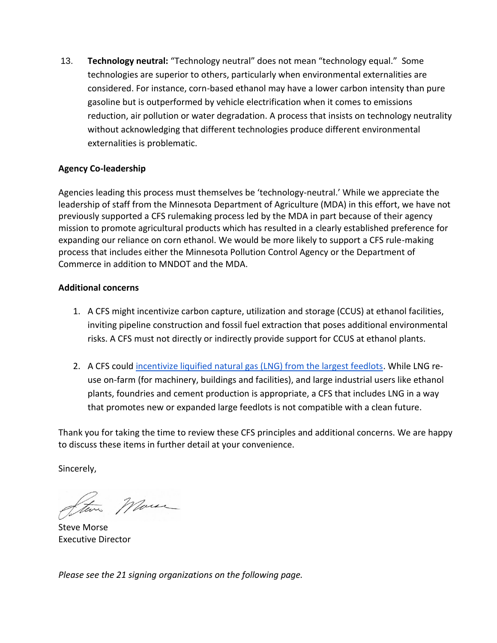13. **Technology neutral:** "Technology neutral" does not mean "technology equal." Some technologies are superior to others, particularly when environmental externalities are considered. For instance, corn-based ethanol may have a lower carbon intensity than pure gasoline but is outperformed by vehicle electrification when it comes to emissions reduction, air pollution or water degradation. A process that insists on technology neutrality without acknowledging that different technologies produce different environmental externalities is problematic.

## **Agency Co-leadership**

Agencies leading this process must themselves be 'technology-neutral.' While we appreciate the leadership of staff from the Minnesota Department of Agriculture (MDA) in this effort, we have not previously supported a CFS rulemaking process led by the MDA in part because of their agency mission to promote agricultural products which has resulted in a clearly established preference for expanding our reliance on corn ethanol. We would be more likely to support a CFS rule-making process that includes either the Minnesota Pollution Control Agency or the Department of Commerce in addition to MNDOT and the MDA.

### **Additional concerns**

- 1. A CFS might incentivize carbon capture, utilization and storage (CCUS) at ethanol facilities, inviting pipeline construction and fossil fuel extraction that poses additional environmental risks. A CFS must not directly or indirectly provide support for CCUS at ethanol plants.
- 2. A CFS could [incentivize liquified natural gas \(LNG\) from the largest feedlots.](https://recyclingandenergy.org/wp-content/uploads/2021/03/RNG-Designed-Case-Study_Minnesota-Specific.pdf) While LNG reuse on-farm (for machinery, buildings and facilities), and large industrial users like ethanol plants, foundries and cement production is appropriate, a CFS that includes LNG in a way that promotes new or expanded large feedlots is not compatible with a clean future.

Thank you for taking the time to review these CFS principles and additional concerns. We are happy to discuss these items in further detail at your convenience.

Sincerely,

Steve Marse

Steve Morse Executive Director

*Please see the 21 signing organizations on the following page.*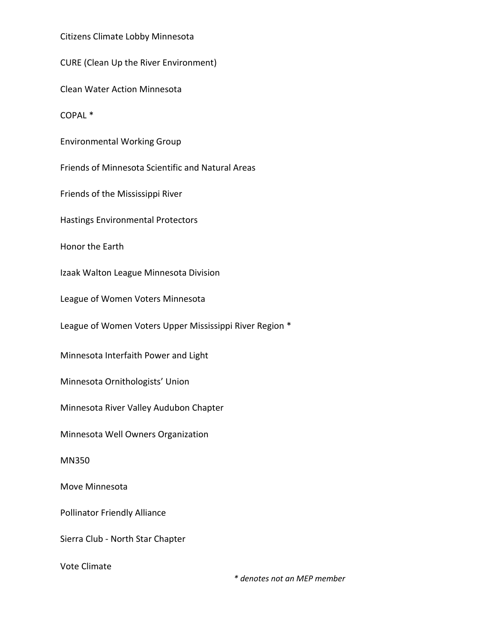Citizens Climate Lobby Minnesota

CURE (Clean Up the River Environment)

Clean Water Action Minnesota

COPAL \*

Environmental Working Group

Friends of Minnesota Scientific and Natural Areas

Friends of the Mississippi River

Hastings Environmental Protectors

Honor the Earth

Izaak Walton League Minnesota Division

League of Women Voters Minnesota

League of Women Voters Upper Mississippi River Region \*

Minnesota Interfaith Power and Light

Minnesota Ornithologists' Union

Minnesota River Valley Audubon Chapter

Minnesota Well Owners Organization

MN350

Move Minnesota

Pollinator Friendly Alliance

Sierra Club - North Star Chapter

Vote Climate

*\* denotes not an MEP member*